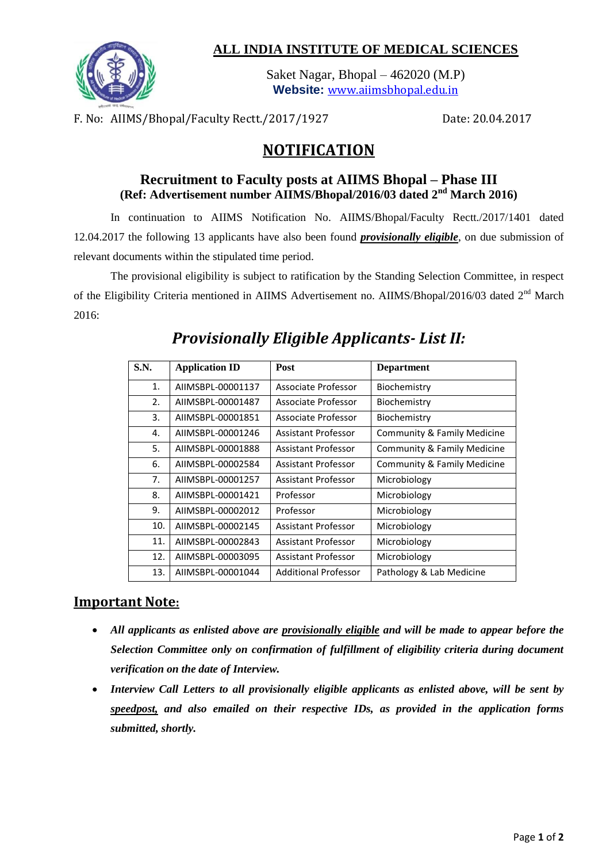### **ALL INDIA INSTITUTE OF MEDICAL SCIENCES**



Saket Nagar, Bhopal – 462020 (M.P) **Website:** [www.aiimsbhopal.edu.in](http://www.aiimsbhopal.edu.in/)

F. No: AIIMS/Bhopal/Faculty Rectt./2017/1927 Date: 20.04.2017

# **NOTIFICATION**

### **Recruitment to Faculty posts at AIIMS Bhopal – Phase III (Ref: Advertisement number AIIMS/Bhopal/2016/03 dated 2nd March 2016)**

In continuation to AIIMS Notification No. AIIMS/Bhopal/Faculty Rectt./2017/1401 dated 12.04.2017 the following 13 applicants have also been found *provisionally eligible*, on due submission of relevant documents within the stipulated time period.

The provisional eligibility is subject to ratification by the Standing Selection Committee, in respect of the Eligibility Criteria mentioned in AIIMS Advertisement no. AIIMS/Bhopal/2016/03 dated 2<sup>nd</sup> March 2016:

| <b>S.N.</b> | <b>Application ID</b> | Post                        | <b>Department</b>           |
|-------------|-----------------------|-----------------------------|-----------------------------|
| 1.          | AIIMSBPL-00001137     | Associate Professor         | Biochemistry                |
| 2.          | AIIMSBPL-00001487     | Associate Professor         | Biochemistry                |
| 3.          | AIIMSBPL-00001851     | Associate Professor         | Biochemistry                |
| 4.          | AIIMSBPL-00001246     | Assistant Professor         | Community & Family Medicine |
| 5.          | AIIMSBPL-00001888     | Assistant Professor         | Community & Family Medicine |
| 6.          | AIIMSBPL-00002584     | Assistant Professor         | Community & Family Medicine |
| 7.          | AIIMSBPL-00001257     | Assistant Professor         | Microbiology                |
| 8.          | AIIMSBPL-00001421     | Professor                   | Microbiology                |
| 9.          | AIIMSBPL-00002012     | Professor                   | Microbiology                |
| 10.         | AIIMSBPL-00002145     | Assistant Professor         | Microbiology                |
| 11.         | AIIMSBPL-00002843     | Assistant Professor         | Microbiology                |
| 12.         | AIIMSBPL-00003095     | Assistant Professor         | Microbiology                |
| 13.         | AIIMSBPL-00001044     | <b>Additional Professor</b> | Pathology & Lab Medicine    |

# *Provisionally Eligible Applicants- List II:*

## **Important Note:**

- *All applicants as enlisted above are provisionally eligible and will be made to appear before the Selection Committee only on confirmation of fulfillment of eligibility criteria during document verification on the date of Interview.*
- *Interview Call Letters to all provisionally eligible applicants as enlisted above, will be sent by speedpost, and also emailed on their respective IDs, as provided in the application forms submitted, shortly.*